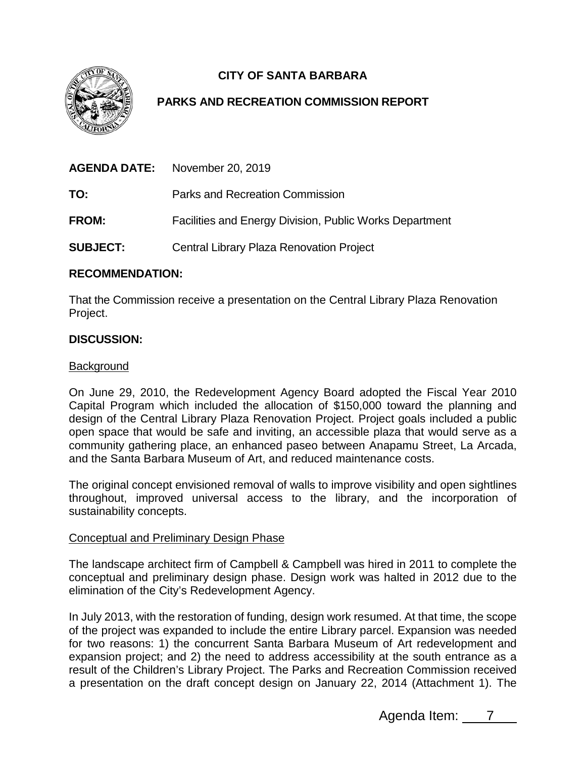

# **CITY OF SANTA BARBARA**

## **PARKS AND RECREATION COMMISSION REPORT**

|                 | <b>AGENDA DATE:</b> November 20, 2019                          |
|-----------------|----------------------------------------------------------------|
| TO:             | Parks and Recreation Commission                                |
| <b>FROM:</b>    | <b>Facilities and Energy Division, Public Works Department</b> |
| <b>SUBJECT:</b> | Central Library Plaza Renovation Project                       |

## **RECOMMENDATION:**

That the Commission receive a presentation on the Central Library Plaza Renovation Project.

## **DISCUSSION:**

## Background

On June 29, 2010, the Redevelopment Agency Board adopted the Fiscal Year 2010 Capital Program which included the allocation of \$150,000 toward the planning and design of the Central Library Plaza Renovation Project. Project goals included a public open space that would be safe and inviting, an accessible plaza that would serve as a community gathering place, an enhanced paseo between Anapamu Street, La Arcada, and the Santa Barbara Museum of Art, and reduced maintenance costs.

The original concept envisioned removal of walls to improve visibility and open sightlines throughout, improved universal access to the library, and the incorporation of sustainability concepts.

#### Conceptual and Preliminary Design Phase

The landscape architect firm of Campbell & Campbell was hired in 2011 to complete the conceptual and preliminary design phase. Design work was halted in 2012 due to the elimination of the City's Redevelopment Agency.

In July 2013, with the restoration of funding, design work resumed. At that time, the scope of the project was expanded to include the entire Library parcel. Expansion was needed for two reasons: 1) the concurrent Santa Barbara Museum of Art redevelopment and expansion project; and 2) the need to address accessibility at the south entrance as a result of the Children's Library Project. The Parks and Recreation Commission received a presentation on the draft concept design on January 22, 2014 (Attachment 1). The

Agenda Item: 7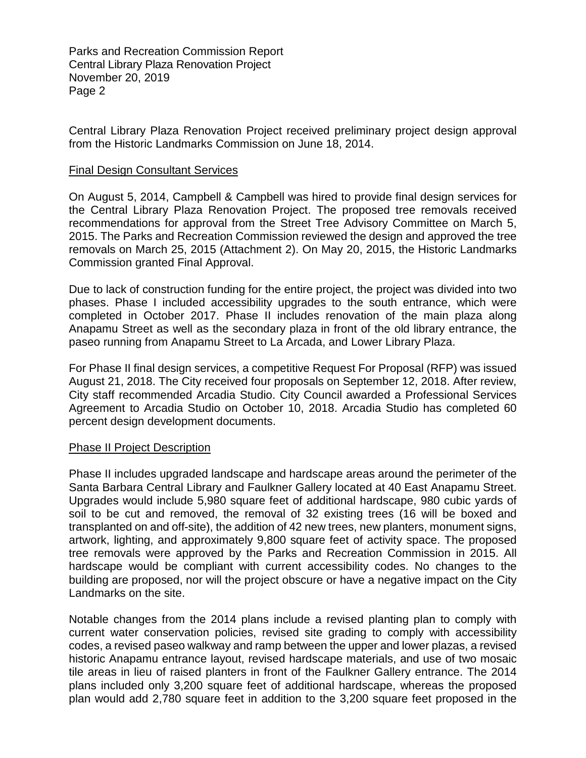Parks and Recreation Commission Report Central Library Plaza Renovation Project November 20, 2019 Page 2

Central Library Plaza Renovation Project received preliminary project design approval from the Historic Landmarks Commission on June 18, 2014.

#### Final Design Consultant Services

On August 5, 2014, Campbell & Campbell was hired to provide final design services for the Central Library Plaza Renovation Project. The proposed tree removals received recommendations for approval from the Street Tree Advisory Committee on March 5, 2015. The Parks and Recreation Commission reviewed the design and approved the tree removals on March 25, 2015 (Attachment 2). On May 20, 2015, the Historic Landmarks Commission granted Final Approval.

Due to lack of construction funding for the entire project, the project was divided into two phases. Phase I included accessibility upgrades to the south entrance, which were completed in October 2017. Phase II includes renovation of the main plaza along Anapamu Street as well as the secondary plaza in front of the old library entrance, the paseo running from Anapamu Street to La Arcada, and Lower Library Plaza.

For Phase II final design services, a competitive Request For Proposal (RFP) was issued August 21, 2018. The City received four proposals on September 12, 2018. After review, City staff recommended Arcadia Studio. City Council awarded a Professional Services Agreement to Arcadia Studio on October 10, 2018. Arcadia Studio has completed 60 percent design development documents.

#### Phase II Project Description

Phase II includes upgraded landscape and hardscape areas around the perimeter of the Santa Barbara Central Library and Faulkner Gallery located at 40 East Anapamu Street. Upgrades would include 5,980 square feet of additional hardscape, 980 cubic yards of soil to be cut and removed, the removal of 32 existing trees (16 will be boxed and transplanted on and off-site), the addition of 42 new trees, new planters, monument signs, artwork, lighting, and approximately 9,800 square feet of activity space. The proposed tree removals were approved by the Parks and Recreation Commission in 2015. All hardscape would be compliant with current accessibility codes. No changes to the building are proposed, nor will the project obscure or have a negative impact on the City Landmarks on the site.

Notable changes from the 2014 plans include a revised planting plan to comply with current water conservation policies, revised site grading to comply with accessibility codes, a revised paseo walkway and ramp between the upper and lower plazas, a revised historic Anapamu entrance layout, revised hardscape materials, and use of two mosaic tile areas in lieu of raised planters in front of the Faulkner Gallery entrance. The 2014 plans included only 3,200 square feet of additional hardscape, whereas the proposed plan would add 2,780 square feet in addition to the 3,200 square feet proposed in the